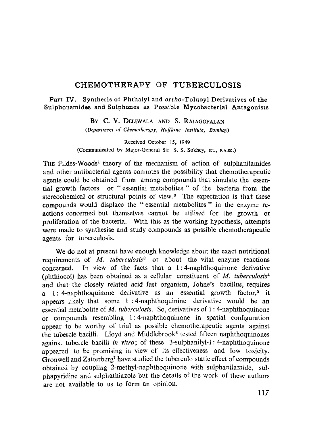## **CHEMOTHERAPY OF TUBERCULOSIS**

**Part IV. Synthesis of Phthalyl and ortho-Toluoyl Derivatives of the Sulphonamides and Sulphones as Possible Mycobacterial Antagonists**

> BY C. V. DELIWALA AND S. RAJAGOPALAN *(Department of Chemotherapy, Haffkine lnstitate, Bombay)*

Received October 15, 1949 (Communicated by Major-General Sir S. S. Sokhey, xt., F.A.SC.)

THE Fildes-Woods<sup>1</sup> theory of the mechanism of action of sulphanilamides and other antibacterial agents connotes the possibility that chemotherapeutic agents could be obtained from among compounds that simulate the essential growth factors or " essential metabolites " of the bacteria from the stereochemical or structural points of view. $2$  The expectation is that these compounds would displace the " essential metabolites " in the enzyme reactions concerned but themselves cannot be utilised for the growth or proliferation of the bacteria. With this as the working hypothesis, attempts were made to synthesise and study compounds as possible chemotherapeutic agents for tuberculosis.

We do not at present have enough knowledge about the exact nutritional requirements of *M. tuberculosis'* or about the vital enzyme reactions concerned. In view of the facts that a 1:4-naphthoquinone derivative (phthiocol) has been obtained as a cellular constituent of *M. tuberculosis <sup>4</sup>* and that the closely related acid fast organism, Johne's bacillus, requires a 1: 4-naphthoquinone derivative as an essential growth factor,<sup>5</sup> it appears likely that some 1 :4-naphthoquinine derivative would be an essential metabolite of *M. tuberculosis.* So, derivatives of 1: 4-naphthoquinone or compounds resembling 1: 4-naphthoquinone in spatial configuration appear to be worthy of trial as possible chemotherapeutic agents against the tubercle bacilli. Lloyd and Middlebrook<sup>6</sup> tested fifteen naphthoquinones against tubercle bacilli *in vitro*; of these 3-sulphanilyl-1:4-naphthoquinone appeared to be promising in view of its effectiveness and low toxicity. Gronwell and Zatterberg' have studied the tuberculo static effect of compounds obtained by coupling 2-methyl-naphthoquinone with sulphanilamide, sulphapyridine and sulphathiazole but the details of the work of these authors are not available to us to form an opinion.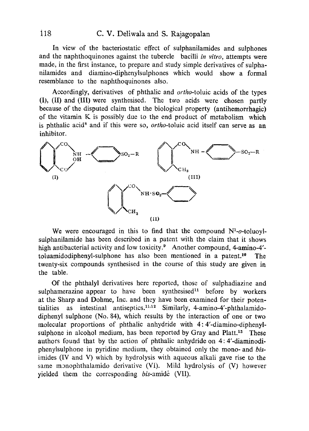In view of the bacteriostatic effect of sulphanilamides and sulphones and the naphthoquinones against the tubercle bacilli *in vitro,* attempts were made, in the first instance, to prepare and study simple derivatives of sulphanilamides and diamino-diphenylsulphones which would show a formal resemblance to the naphthoquinones also.

Accordingly, derivatives of phthalic and ortho-toluic acids of the types (I), (II) and (III) were synthesised. The two acids were chosen partly because of the disputed claim that the biological property (antihemorrhagic) of the vitamin K is possibly due to the end product of metabolism which is phthalic acid<sup>8</sup> and if this were so, *ortho*-toluic acid itself can serve as an inhibitor. is phthaic a<br>inhibitor.



We were encouraged in this to find that the compound  $N<sup>1</sup>-o$ -toluoylsulphanilamide has been described in a patent with the claim that it shows high antibacterial activity and low toxicity.<sup>9</sup> Another compound, 4-amino-4'toluamidodiphenyl-sulphone has also been mentioned in a patent.<sup>10</sup> The twenty-six compounds synthesised in the course of this study are given in the table.

Of the phthalyl derivatives here reported, those of sulphadiazine and sulphamerazine appear to have been synthesised<sup>11</sup> before by workers at the Sharp and Dohme, Inc. and they have been examined for their potentialities as intestinal antiseptics. 11,12 Similarly, 4-amino-4'-phthalamidodiphenyl sulphone (No. 84), which results by the interaction of one or two molecular proportions of phthalic anhydride with 4: 4'-diamino-diphenylsulphone in alcohol medium, has been reported by Gray and Platt.<sup>13</sup> These authors found that by the action of phthalic anhydride on 4: 4'-diaminodiphenylsulphone in pyridine medium, they obtained only the mono- and *bis*imides (IV and V) which by hydrolysis with aqueous alkali gave rise to the same monophthalamido derivative (VI). Mild hydrolysis of (V) however yielded them the corresponding bis-amide (VII).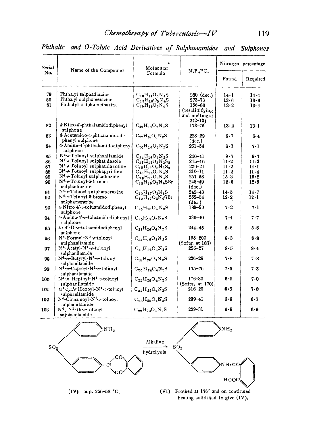| Serial<br>No. | Name of the Compound                                                     | Molecular                                                              | M.P./°C.                                                     |              | Nitrogen percentage |
|---------------|--------------------------------------------------------------------------|------------------------------------------------------------------------|--------------------------------------------------------------|--------------|---------------------|
|               |                                                                          | Formula                                                                |                                                              | Found        | Required            |
| 79            | Phthalyl sulphadiazine                                                   | $C_{18}H_{14}O_5N_4S$                                                  | $280$ (dec.)                                                 | 14·1         | 14.4                |
| 80            | Phthalyl sulphamerazine                                                  | $C_{19}H_{16}O_5N_4S$                                                  | $273 - 76$                                                   | 13.6         | 13.6                |
| 81            | Phthalyl sulphamethazine                                                 | $C_{20}H_{18}O_5N_4S$                                                  | $156 - 60$<br>(resolidifying<br>and melting at<br>$212 - 13$ | 13.2         | $13 \cdot 1$        |
| 82            | 4-Nitro-4'-phthalamidodiphenyl<br>sulphone                               | $C_{20}H_{14}O_7N_2S$                                                  | $173 - 75$                                                   | $13 \cdot 2$ | 13·1                |
| 83            | 4-Acetamido-4-phthalamidodi-<br>phenyl sulphone                          | $C_{22}H_{18}O_6N_2S$                                                  | 228-29<br>$(\text{dec.})$                                    | 6.7          | 6.4                 |
| 84            | 4. Amino-4'-phthalamidodiphenyl<br>sulphone                              | $C_{20}H_{16}O_5N_2S$                                                  | $251 - 54$                                                   | $6-7$        | 7-1                 |
| 85            | N <sup>4</sup> -o-Toluoyl sulphanilamide                                 | $C_{14}H_{14}O_8N_2S$                                                  | 240–41                                                       | 9 - 7        | 9.7                 |
| 86            | N <sup>4</sup> -o-Toluoyl sulphathiazole                                 | $C_{17}H_{15}O_3N_3S_2$                                                | 245–46                                                       | $11-2$       | 11 - 3              |
| 87            | N <sup>4</sup> -0-Toluoyl sulphathiazoline                               | $C_{17}H_{17}O_3N_3S_2$                                                | $220 - 21$                                                   | 11.2         | 11 - 1              |
| 88            | N <sup>4</sup> -0-Totuoyl sulphapyridine                                 | $C_{18}H_{18}O_3N_3S$                                                  | 210–11                                                       | $11 \cdot 2$ | $11-4$              |
| 89            | N <sup>4</sup> -o-Toluoyl sulphadiazine                                  | $C_{18}H_{16}O_3N_4S$                                                  | $257 - 58$                                                   | $15-3$       | $15-2$              |
| 90            | N <sup>4</sup> o-Toluoyl-5-bromo-<br>sulphadiazine                       | $C_{18}H_{15}O_3N_4SBr$                                                | $248 - 49$<br>(dec.)                                         | 12.6         | 12.5                |
| 91            | N <sup>4</sup> -o-Toluoyl sulphamerazine                                 | $C_{19}H_{17}O_3N_4S$                                                  | $242 - 43$                                                   | 14.5         | 14.7                |
| 92            | N <sup>4</sup> -o-Tolucyl-5-bromo-                                       | $C_{19}H_{17}O_3N_4SBr$                                                | $252 - 54$                                                   | 12.2         | $12 \cdot 1$        |
| 93            | sulphamerazine<br>4. Nitro 4'-o-toluamidodiphenyl<br>sulphone            | $C_{20}H_{16}O_5N_2S$                                                  | (dec.)<br>189-90                                             | 7.2          | 7.1                 |
| 94            | 4-Amino-4'-o-toluamidodiphenyl<br>sulphone                               | $\mathrm{C}_{20}\mathrm{H}_{18}\mathrm{O}_{3}\mathrm{N}_{2}\mathrm{S}$ | 230-40                                                       | 7.4          | 7.7                 |
| 95            | 4:4'-Di-o-toluamidodiphenyl<br>sulphone                                  | $C_{28}H_{24}O_4N_2S$                                                  | 244–45                                                       | 5-6          | 5.8                 |
| 96            | $N^4$ -Formyl-N <sup>1</sup> - $\sigma$ -toluoyl<br>sulphanilamide       | $C_{15}H_{14}O_4N_2S$                                                  | $195 - 200$<br>(Softg. at 187)                               | 8.3          | 8.8                 |
| 97            | $N^4$ -Acetyl-N <sup>1</sup> - $\sigma$ -toluoyl<br>sulphanilamide       | $C_{16}H_{16}O_4N_2S$                                                  | $225 - 27$                                                   | 8.5          | 8.4                 |
| 98            | $N^4$ -n-Butyryl-N <sup>1</sup> -o-toluovl<br>sulphanilamide             | $C_{18}H_{20}O_4N_2S$                                                  | $226 - 29$                                                   | 7-8          | 7.8                 |
| 99            | $N^4$ -n-Caproyl- $N^1$ -o-toluoyl<br>sulphanilamide                     | $C_{20}H_{24}O_4N_2S$                                                  | $175 - 76$                                                   | 7.5          | 7.3                 |
| 100           | $N^4$ -n-Heptoyl- $N^1$ -o-toluoyl<br>sulphanilamide                     | $C_{21}H_{26}O_4N_2S$                                                  | 176-80<br>(Softe, at 170)                                    | 6.9          | 7-0                 |
| 101           | N <sup>4</sup> -cyclo-Hexoyl-N <sup>1</sup> -o-toluoyl<br>sulphanilamide | $C_{21}H_{22}O_4N_2S$                                                  | $216 - 20$                                                   | 6.9          | 7.0                 |
| 102           | $N^4$ -Cinnamoyl- $N^1$ -o-toluoyl<br>sulphanilamide                     | $C_{23}H_{20}O_4N_2S$                                                  | $239 - 41$                                                   | 6.8          | 6.7                 |
| 103           | $N^4$ , $N^1$ -Di- $\sigma$ -toluoyl<br>sulphanilamide                   | $C_{22}H_{20}O_4N_2S$                                                  | $229 - 31$                                                   | 6.9          | $6 - 9$             |

*Phthalic and O-Toluic Acid Derivatives of Sulphonamides and Sulphones*





 $\mathbf{\hat{M}H_2}$ 

NH.CO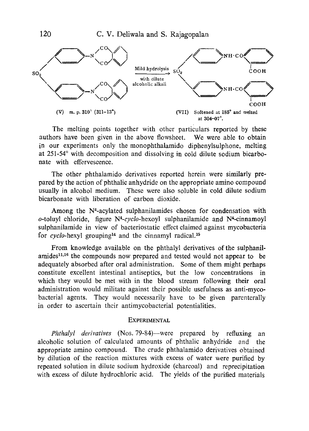

The melting points together with other particulars reported by these authors have been given in the above flowsheet. We were able to obtain in our experiments only the monophthalamido diphenylsulphone, melting at 251-54° with decomposition and dissolving in cold dilute sodium bicarbonate with effervescence.

The other phthalamido derivatives reported herein were similarly prepared by the action of phthalic anhydride on the appropriate amino compound usually in alcohol medium. These were also soluble in cold dilute sodium bicarbonate with liberation of carbon dioxide.

Among the N<sup>4</sup>-acylated sulphanilamides chosen for condensation with o-toluyl chloride, figure  $N^4$ -cyclo-hexoyl sulphanilamide and  $N^4$ -cinnamoyl sulphanilamide in view of bacteriostatic effect claimed against mycobacteria for *cyclo-hexyl* grouping<sup>14</sup> and the cinnamyl radical.<sup>15</sup>

From knowledge available on the phthalyl derivatives of the sulphanilamides<sup>11,16</sup> the compounds now prepared and tested would not appear to be adequately absorbed after oral administration. Some of them might perhaps constitute excellent intestinal antiseptics, but the low concentrations in which they would be met with in the blood stream following their oral administration would militate against their possible usefulness as anti-mycobacterial agents. They would necessarily have to be given parenterally in order to ascertain their antimycobacterial potentialities.

## **EXPERIMENTAL**

*Phthalyl derivatives* (Nos. 79-84)—were prepared by refluxing an alcoholic solution of calculated amounts of phthalic anhydride and the appropriate amino compound. The crude phthalamido derivatives obtained by dilution of the reaction mixtures with excess of water were purified by repeated solution in dilute sodium hydroxide (charcoal) and reprecipitation with excess of dilute hydrochloric acid. The yields of the purified materials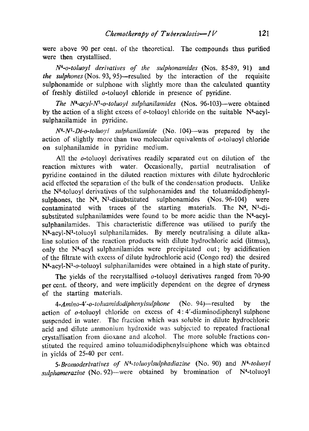were above 90 per cent, of the theoretical. The compounds thus purified were then crystallised.

*N4-o-toluoyl derivatives of the sulphonamides* (Nos. 85-89, 91) and *the sulphones (Nos.* 93, 95)—resulted by the interaction of the requisite sulphonamide or sulphone with slightly more than the calculated quantity of freshly distilled o-toluoyl chloride in presence of pyridine.

*The N4-acyl-Nl-o-toluoyl sulphanilamides (Nos.* 96-103)—were obtained by the action of a slight excess of  $o$ -toluoyl chloride on the suitable  $N<sup>4</sup>$ -acylsulphanilamide in pyridine.

*N4-N1-Di-o-toluoyl sulphanilamide* (No. 104)—was prepared by the action of slightly more than two molecular equivalents of o-toluoyl chloride on sulphanilamide in pyridine medium.

All the o-toluoyl derivatives readily separated out on dilution of the reaction mixtures with water. Occasionally, partial neutralisation of pyridine contained in the diluted reaction mixtures with dilute hydrochloric acid effected the separation of the bulk of the condensation products. Unlike the N4-toluoyl derivatives of the sulphonamides and the toluamidodiphenylsulphones, the  $N<sup>4</sup>$ ,  $N<sup>1</sup>$ -disubstituted sulphonamides (Nos. 96-104) were contaminated with traces of the starting materials. The  $N<sup>4</sup>$ ,  $N<sup>1</sup>$ -disubstituted sulphanilamides were found to be more acidic than the  $N<sup>4</sup>$ -acylsulphanilamides. This characteristic difference was utilised to purify the  $N<sup>4</sup>$ -acyl- $N<sup>1</sup>$ -toluoyl sulphanilamides. By merely neutralising a dilute alkaline solution of the reaction products with dilute hydrochloric acid (litmus), only the N4-acyl sulphanilamides were precipitated out; by acidification of the filtrate with excess of dilute hydrochloric acid (Congo red) the desired N4-acyl-N'-o-toluoyl sulphanilamides were obtained in a high state of purity.

The yields of the recrystallised  $o$ -toluoyl derivatives ranged from 70-90 per cent. of theory, and were implicitly dependent on the degree of dryness of the starting materials.

*4-Amino-4'-o-toluamidodiphenylsulphone* (No. 94)—resulted by the action of o-toluoyl chloride on excess of 4: 4'-diaminodiphenyl sulphone suspended in water. The fraction which was soluble in dilute hydrochloric acid and dilute ammonium hydroxide was subjected to repeated fractional crystallisation from dioxane and alcohol. The more soluble fractions constituted the required amino toluamidodiphenylsuiphone which was obtained in yields of 25-40 per cent.

*5-Bromoderivatives of N4- toluoylsulphadiazine* (No. 90) and *N4-toluoyl* sulphamerazine (No. 92)—were obtained by bromination of N<sup>4</sup>-toluoyl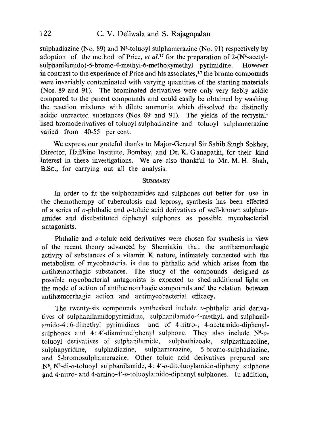sulphadiazine (No. 89) and  $N<sup>4</sup>$ -toluoyl sulphamerazine (No. 91) respectively by adoption of the method of Price,  $et al.<sup>17</sup>$  for the preparation of 2- $(N<sup>4</sup>-acetyl$ sulphanilamido)-5-bromo-4-methyl-6-methoxymethyl pyrimidine. However in contrast to the experience of Price and his associates, $17$  the bromo compounds were invariably contaminated with varying quantities of the starting materials (Nos. 89 and 91). The brominated derivatives were only very feebly acidic compared to the parent compounds and could easily be obtained by washing the reaction mixtures with dilute ammonia which dissolved the distinctly acidic unreacted substances (Nos. 89 and 91). The yields of the recrystallised bromoderivatives of toluoyl sulphadiazine and toluoyl sulphamerazine varied from 40-55 per cent.

We express our grateful thanks to Major-General Sir Sahib Singh Sokhey, Director, Haffkine Institute, Bombay, and Dr. K. Ganapathi, for their kind interest in these investigations. We are also thankful to Mr. M. H. Shah, B.Sc., for carrying out all the analysis.

## **SUMMARY**

In order to fit the sulphonamides and sulphones out better for use in the chemotherapy of tuberculosis and leprosy, synthesis has been effected. of a series of o-phthalic and o-toluic acid derivatives of well-known sulphonamides and disubstituted diphenyl sulphones as possible mycobacterial antagonists.

Phthalic and o-toluic acid derivatives were chosen for synthesis in view of the recent theory advanced by Shemiakin that the antihæmorrhagic activity of substances of a vitamin K nature, intimately connected with the metabolism of mycobacteria, is due to phthalic acid which arises from the antihaemorrhagic substances. The study of the compounds designed as possible mycobacterial antagonists is expected to shed additional light on the mode of action of antihæmorrhagic compounds and the relation between antihxmorrhagic action and antimycobacterial efficacy.

The twenty-six compounds synthesised include o-phthalic acid derivatives of sulphanilamidopyrimidine, sulphanilamido-4-methyl, and sulphanilamido-4:6-dimethyl pyrimidines and of 4-nitro-, 4-acetamido-diphenylsulphones and  $4:4'-diaminodiphenyl$  sulphone. They also include  $N<sup>4</sup>-o$ toluoyl derivatives of sulphanilamide, sulphathizoale, sulphathiazoline, sulphapyridine, sulphadiazine, sulphamerazine, 5-bromo-sulphadiazine, and 5-bromosulphamerazine. Other toluic acid derivatives prepared are N4, N'-di-o-toluoyl sulphanilamide, 4: 4'-o-ditoluoylamido-diphenyl sulphone and 4-nitro- and 4-amino-4'-o-toluoylamido-diphenyl sulphones. In addition,